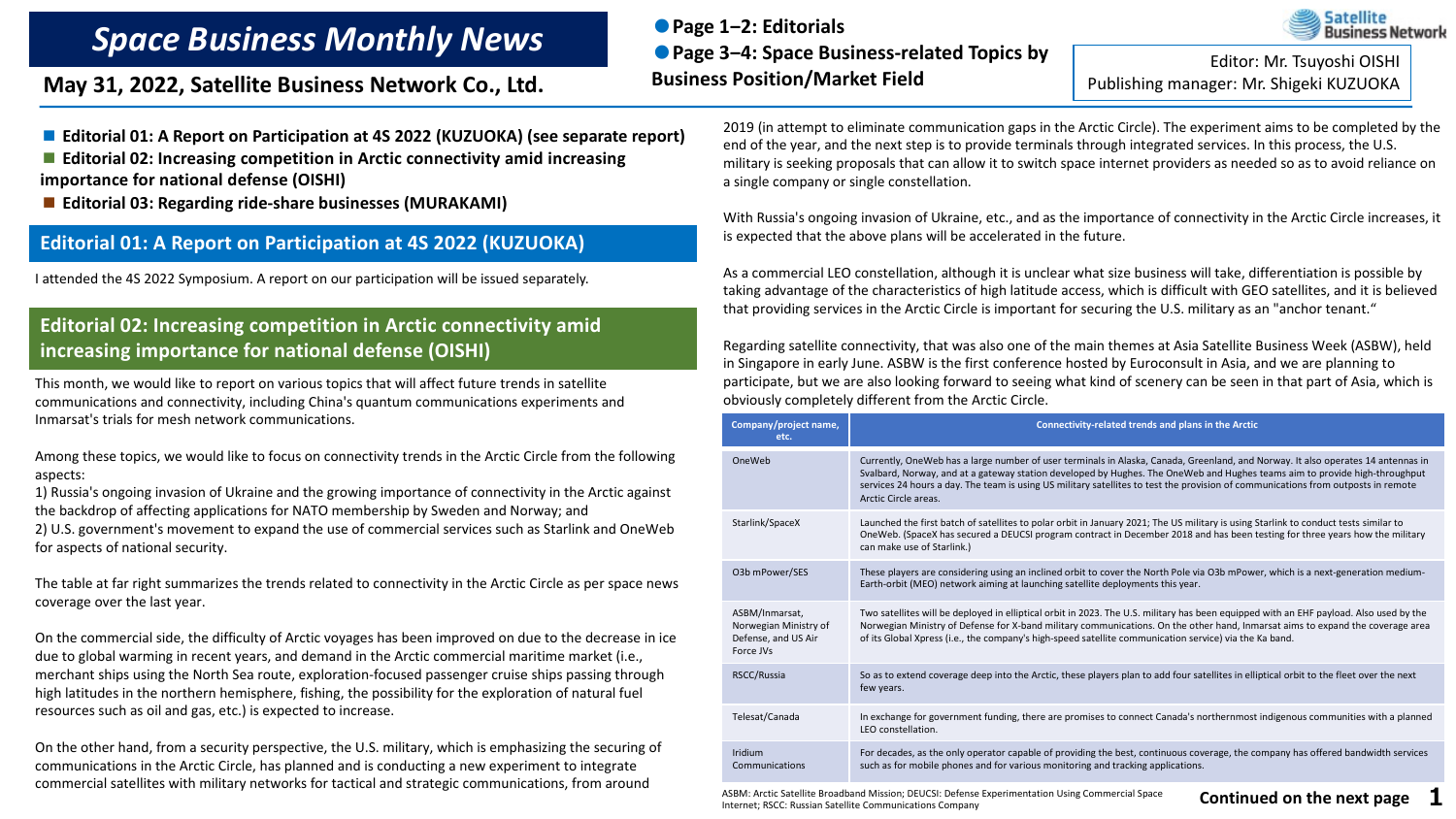# *Space Business Monthly News*

**May 31, 2022, Satellite Business Network Co., Ltd.**

**●Page 1‒2: Editorials ●Page 3‒4: Space Business-related Topics by Business Position/Market Field Converts by Editor: Mr. Tsuyoshi OISHI**<br>Publishing manager: Mr. Shigeki KUZUOKA

**Satellite** Business Network

■ **Editorial 01: A Report on Participation at 4S 2022 (KUZUOKA) (see separate report)** 

■ **Editorial 02: Increasing competition in Arctic connectivity amid increasing importance for national defense (OISHI)** 

■ **Editorial 03: Regarding ride-share businesses (MURAKAMI)** 

#### **Editorial 01: A Report on Participation at 4S 2022 (KUZUOKA)**

I attended the 4S 2022 Symposium. A report on our participation will be issued separately.

## **Editorial 02: Increasing competition in Arctic connectivity amid increasing importance for national defense (OISHI)**

This month, we would like to report on various topics that will affect future trends in satellite communications and connectivity, including China's quantum communications experiments and Inmarsat's trials for mesh network communications.

Among these topics, we would like to focus on connectivity trends in the Arctic Circle from the following aspects:

1) Russia's ongoing invasion of Ukraine and the growing importance of connectivity in the Arctic against the backdrop of affecting applications for NATO membership by Sweden and Norway; and

2) U.S. government's movement to expand the use of commercial services such as Starlink and OneWeb for aspects of national security.

The table at far right summarizes the trends related to connectivity in the Arctic Circle as per space news coverage over the last year.

On the commercial side, the difficulty of Arctic voyages has been improved on due to the decrease in ice due to global warming in recent years, and demand in the Arctic commercial maritime market (i.e., merchant ships using the North Sea route, exploration-focused passenger cruise ships passing through high latitudes in the northern hemisphere, fishing, the possibility for the exploration of natural fuel resources such as oil and gas, etc.) is expected to increase.

On the other hand, from a security perspective, the U.S. military, which is emphasizing the securing of communications in the Arctic Circle, has planned and is conducting a new experiment to integrate commercial satellites with military networks for tactical and strategic communications, from around

2019 (in attempt to eliminate communication gaps in the Arctic Circle). The experiment aims to be completed by the end of the year, and the next step is to provide terminals through integrated services. In this process, the U.S. military is seeking proposals that can allow it to switch space internet providers as needed so as to avoid reliance on a single company or single constellation.

With Russia's ongoing invasion of Ukraine, etc., and as the importance of connectivity in the Arctic Circle increases, it is expected that the above plans will be accelerated in the future.

As a commercial LEO constellation, although it is unclear what size business will take, differentiation is possible by taking advantage of the characteristics of high latitude access, which is difficult with GEO satellites, and it is believed that providing services in the Arctic Circle is important for securing the U.S. military as an "anchor tenant."

Regarding satellite connectivity, that was also one of the main themes at Asia Satellite Business Week (ASBW), held in Singapore in early June. ASBW is the first conference hosted by Euroconsult in Asia, and we are planning to participate, but we are also looking forward to seeing what kind of scenery can be seen in that part of Asia, which is obviously completely different from the Arctic Circle.

| Company/project name,<br>etc.                                               | Connectivity-related trends and plans in the Arctic                                                                                                                                                                                                                                                                                                                                                                         |
|-----------------------------------------------------------------------------|-----------------------------------------------------------------------------------------------------------------------------------------------------------------------------------------------------------------------------------------------------------------------------------------------------------------------------------------------------------------------------------------------------------------------------|
| OneWeb                                                                      | Currently, OneWeb has a large number of user terminals in Alaska, Canada, Greenland, and Norway. It also operates 14 antennas in<br>Svalbard, Norway, and at a gateway station developed by Hughes. The OneWeb and Hughes teams aim to provide high-throughput<br>services 24 hours a day. The team is using US military satellites to test the provision of communications from outposts in remote<br>Arctic Circle areas. |
| Starlink/SpaceX                                                             | Launched the first batch of satellites to polar orbit in January 2021; The US military is using Starlink to conduct tests similar to<br>OneWeb. (SpaceX has secured a DEUCSI program contract in December 2018 and has been testing for three years how the military<br>can make use of Starlink.)                                                                                                                          |
| O3b mPower/SES                                                              | These players are considering using an inclined orbit to cover the North Pole via O3b mPower, which is a next-generation medium-<br>Earth-orbit (MEO) network aiming at launching satellite deployments this year.                                                                                                                                                                                                          |
| ASBM/Inmarsat,<br>Norwegian Ministry of<br>Defense, and US Air<br>Force JVs | Two satellites will be deployed in elliptical orbit in 2023. The U.S. military has been equipped with an EHF payload. Also used by the<br>Norwegian Ministry of Defense for X-band military communications. On the other hand, Inmarsat aims to expand the coverage area<br>of its Global Xpress (i.e., the company's high-speed satellite communication service) via the Ka band.                                          |
| RSCC/Russia                                                                 | So as to extend coverage deep into the Arctic, these players plan to add four satellites in elliptical orbit to the fleet over the next<br>few years.                                                                                                                                                                                                                                                                       |
| Telesat/Canada                                                              | In exchange for government funding, there are promises to connect Canada's northernmost indigenous communities with a planned<br>LEO constellation.                                                                                                                                                                                                                                                                         |
| Iridium<br>Communications                                                   | For decades, as the only operator capable of providing the best, continuous coverage, the company has offered bandwidth services<br>such as for mobile phones and for various monitoring and tracking applications.                                                                                                                                                                                                         |

ASBM: Arctic Satellite Broadband Mission; DEUCSI: Defense Experimentation Using Commercial Space<br>Internati RECC: Duraing Satellite Communications Composure Internet; RSCC: Russian Satellite Communications Company

**1**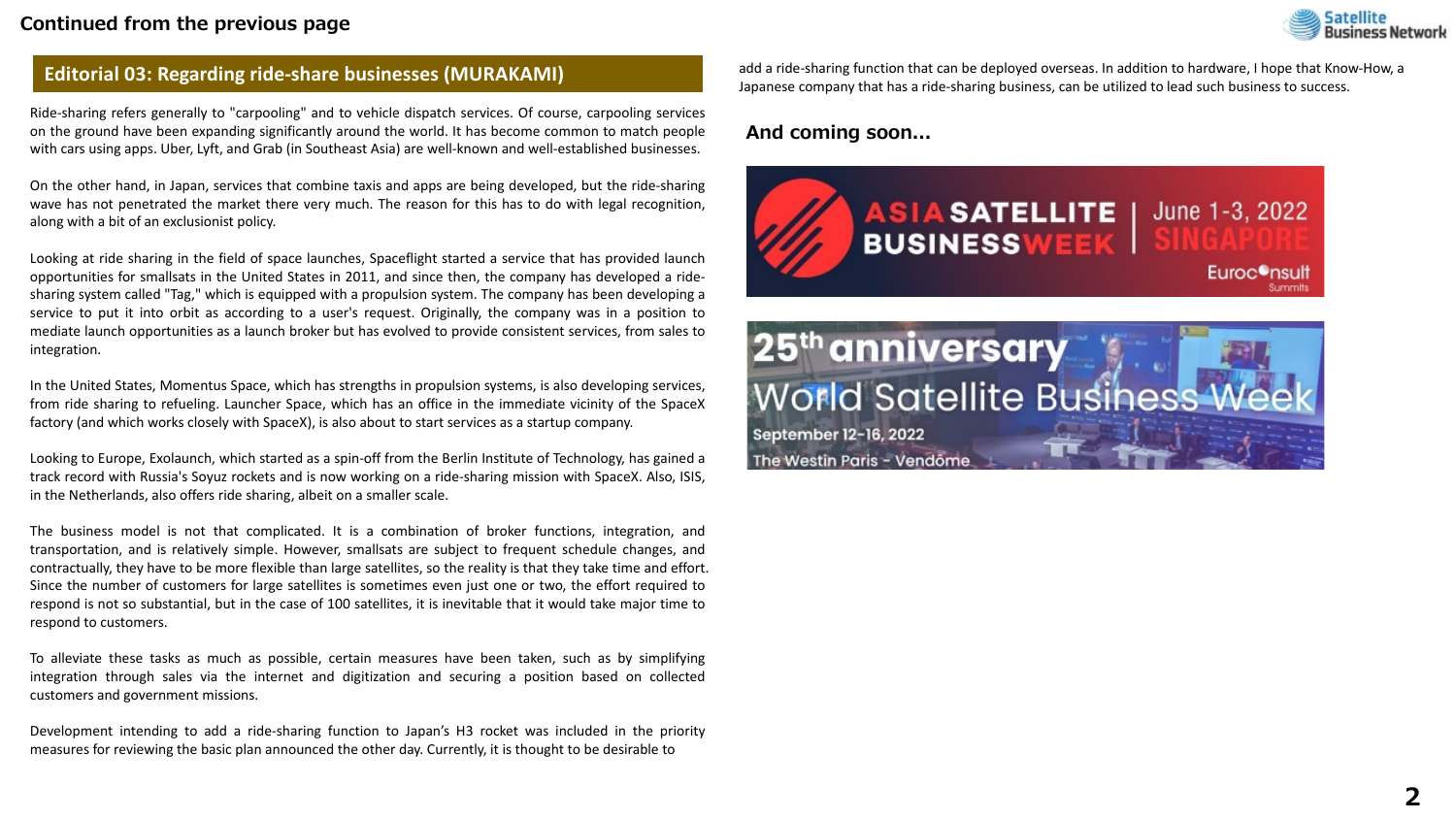#### **Continued from the previous page**



### **Editorial 03: Regarding ride-share businesses (MURAKAMI)**

Ride-sharing refers generally to "carpooling" and to vehicle dispatch services. Of course, carpooling services on the ground have been expanding significantly around the world. It has become common to match people with cars using apps. Uber, Lyft, and Grab (in Southeast Asia) are well-known and well-established businesses.

On the other hand, in Japan, services that combine taxis and apps are being developed, but the ride-sharing wave has not penetrated the market there very much. The reason for this has to do with legal recognition, along with a bit of an exclusionist policy.

Looking at ride sharing in the field of space launches, Spaceflight started a service that has provided launch opportunities for smallsats in the United States in 2011, and since then, the company has developed a ridesharing system called "Tag," which is equipped with a propulsion system. The company has been developing a service to put it into orbit as according to a user's request. Originally, the company was in a position to mediate launch opportunities as a launch broker but has evolved to provide consistent services, from sales to integration.

In the United States, Momentus Space, which has strengths in propulsion systems, is also developing services, from ride sharing to refueling. Launcher Space, which has an office in the immediate vicinity of the SpaceX factory (and which works closely with SpaceX), is also about to start services as a startup company.

Looking to Europe, Exolaunch, which started as a spin-off from the Berlin Institute of Technology, has gained a track record with Russia's Soyuz rockets and is now working on a ride-sharing mission with SpaceX. Also, ISIS, in the Netherlands, also offers ride sharing, albeit on a smaller scale.

The business model is not that complicated. It is a combination of broker functions, integration, and transportation, and is relatively simple. However, smallsats are subject to frequent schedule changes, and contractually, they have to be more flexible than large satellites, so the reality is that they take time and effort. Since the number of customers for large satellites is sometimes even just one or two, the effort required to respond is not so substantial, but in the case of 100 satellites, it is inevitable that it would take major time to respond to customers.

To alleviate these tasks as much as possible, certain measures have been taken, such as by simplifying integration through sales via the internet and digitization and securing a position based on collected customers and government missions.

Development intending to add a ride-sharing function to Japan's H3 rocket was included in the priority measures for reviewing the basic plan announced the other day. Currently, it is thought to be desirable to

add a ride-sharing function that can be deployed overseas. In addition to hardware, I hope that Know-How, a Japanese company that has a ride-sharing business, can be utilized to lead such business to success.

#### **And coming soon...**



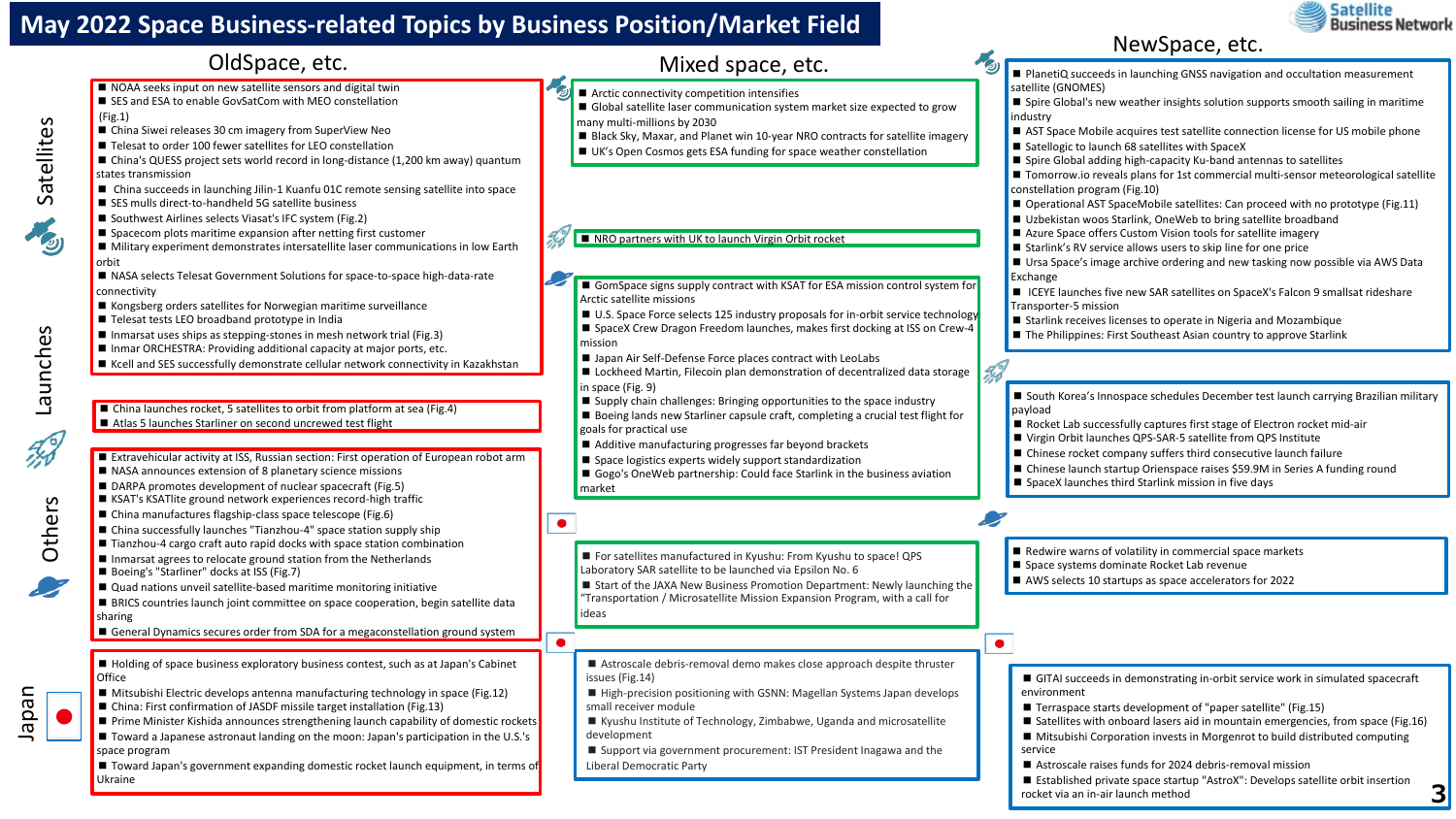# **May 2022 Space Business-related Topics by Business Position/Market Field**



OldSpace, etc.<br>OldSpace, etc. Mixed space, etc. Mixed space, etc. ■ PlanetiQ succeeds in launching GNSS navigation and occultation measurement ■ NOAA seeks input on new satellite sensors and digital twin satellite (GNOMES) ■ Arctic connectivity competition intensifies ■ SES and ESA to enable GovSatCom with MEO constellation ■ Spire Global's new weather insights solution supports smooth sailing in maritime ■ Global satellite laser communication system market size expected to grow (Fig.1) industry many multi-millions by 2030 ■ China Siwei releases 30 cm imagery from SuperView Neo ■ AST Space Mobile acquires test satellite connection license for US mobile phone ■ Black Sky, Maxar, and Planet win 10-year NRO contracts for satellite imagery ■ Telesat to order 100 fewer satellites for LEO constellation ■ Satellogic to launch 68 satellites with SpaceX ■ UK's Open Cosmos gets ESA funding for space weather constellation ■ Spire Global adding high-capacity Ku-band antennas to satellites ■ China's QUESS project sets world record in long-distance (1,200 km away) quantum states transmission ■ Tomorrow.io reveals plans for 1st commercial multi-sensor meteorological satellite ■ China succeeds in launching Jilin-1 Kuanfu 01C remote sensing satellite into space constellation program (Fig.10) ■ SES mulls direct-to-handheld 5G satellite business ■ Operational AST SpaceMobile satellites: Can proceed with no prototype (Fig.11) ■ Southwest Airlines selects Viasat's IFC system (Fig.2) ■ Uzbekistan woos Starlink, OneWeb to bring satellite broadband ■ Spacecom plots maritime expansion after netting first customer ■ Azure Space offers Custom Vision tools for satellite imagery ■ NRO partners with UK to launch Virgin Orbit rocket ■ Military experiment demonstrates intersatellite laser communications in low Earth ■ Starlink's RV service allows users to skip line for one price orbit ■ Ursa Space's image archive ordering and new tasking now possible via AWS Data ■ NASA selects Telesat Government Solutions for space-to-space high-data-rate **Exchange** ■ GomSpace signs supply contract with KSAT for ESA mission control system for connectivity ■ ICEYE launches five new SAR satellites on SpaceX's Falcon 9 smallsat rideshare Arctic satellite missions ■ Kongsberg orders satellites for Norwegian maritime surveillance Transporter-5 mission ■ U.S. Space Force selects 125 industry proposals for in-orbit service technology ■ Telesat tests LEO broadband prototype in India ■ Starlink receives licenses to operate in Nigeria and Mozambique ■ SpaceX Crew Dragon Freedom launches, makes first docking at ISS on Crew-4 ■ Inmarsat uses ships as stepping-stones in mesh network trial (Fig.3) ■ The Philippines: First Southeast Asian country to approve Starlink mission ■ Inmar ORCHESTRA: Providing additional capacity at major ports, etc. ■ Japan Air Self-Defense Force places contract with LeoLabs ■ Kcell and SES successfully demonstrate cellular network connectivity in Kazakhstan 9d ■ Lockheed Martin, Filecoin plan demonstration of decentralized data storage in space (Fig. 9) ■ South Korea's Innospace schedules December test launch carrying Brazilian military ■ Supply chain challenges: Bringing opportunities to the space industry ■ China launches rocket, 5 satellites to orbit from platform at sea (Fig.4) payload ■ Boeing lands new Starliner capsule craft, completing a crucial test flight for ■ Atlas 5 launches Starliner on second uncrewed test flight ■ Rocket Lab successfully captures first stage of Electron rocket mid-air goals for practical use ■ Virgin Orbit launches QPS-SAR-5 satellite from QPS Institute ■ Additive manufacturing progresses far beyond brackets ■ Chinese rocket company suffers third consecutive launch failure ■ Extravehicular activity at ISS, Russian section: First operation of European robot arm ■ Space logistics experts widely support standardization ■ Chinese launch startup Orienspace raises \$59.9M in Series A funding round ■ NASA announces extension of 8 planetary science missions ■ Gogo's OneWeb partnership: Could face Starlink in the business aviation ■ SpaceX launches third Starlink mission in five days ■ DARPA promotes development of nuclear spacecraft (Fig.5) market ■ KSAT's KSATlite ground network experiences record-high traffic ■ China manufactures flagship-class space telescope (Fig.6)  $\bullet$ ■ China successfully launches "Tianzhou-4" space station supply ship ■ Tianzhou-4 cargo craft auto rapid docks with space station combination ■ Redwire warns of volatility in commercial space markets ■ For satellites manufactured in Kyushu: From Kyushu to space! QPS ■ Inmarsat agrees to relocate ground station from the Netherlands ■ Space systems dominate Rocket Lab revenue Laboratory SAR satellite to be launched via Epsilon No. 6 ■ Boeing's "Starliner" docks at ISS (Fig.7) ■ AWS selects 10 startups as space accelerators for 2022 ■ Start of the JAXA New Business Promotion Department: Newly launching the ■ Quad nations unveil satellite-based maritime monitoring initiative "Transportation / Microsatellite Mission Expansion Program, with a call for ■ BRICS countries launch joint committee on space cooperation, begin satellite data ideas sharing ■ General Dynamics secures order from SDA for a megaconstellation ground system  $\bullet$  $\bullet$ ■ Holding of space business exploratory business contest, such as at Japan's Cabinet ■ Astroscale debris-removal demo makes close approach despite thruster **Office** issues (Fig.14) ■ GITAI succeeds in demonstrating in-orbit service work in simulated spacecraft ■ Mitsubishi Electric develops antenna manufacturing technology in space (Fig.12) ■ High-precision positioning with GSNN: Magellan Systems Japan develops environment ■ China: First confirmation of JASDF missile target installation (Fig.13) small receiver module ■ Terraspace starts development of "paper satellite" (Fig.15) ■ Prime Minister Kishida announces strengthening launch capability of domestic rockets ■ Kyushu Institute of Technology, Zimbabwe, Uganda and microsatellite ■ Satellites with onboard lasers aid in mountain emergencies, from space (Fig.16) ■ Toward a Japanese astronaut landing on the moon: Japan's participation in the U.S.'s development ■ Mitsubishi Corporation invests in Morgenrot to build distributed computing space program ■ Support via government procurement: IST President Inagawa and the service ■ Toward Japan's government expanding domestic rocket launch equipment, in terms of ■ Astroscale raises funds for 2024 debris-removal mission Liberal Democratic Party Ukraine ■ Established private space startup "AstroX": Develops satellite orbit insertion **3** rocket via an in-air launch method



Launches Launches

Others

Japan